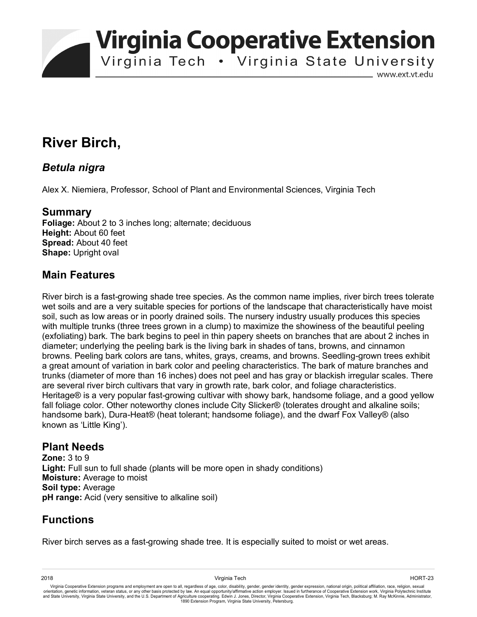**Virginia Cooperative Extension** 

Virginia Tech . Virginia State University

www.ext.vt.edu

# **River Birch,**

#### *Betula nigra*

Alex X. Niemiera, Professor, School of Plant and Environmental Sciences, Virginia Tech

#### **Summary**

**Foliage:** About 2 to 3 inches long; alternate; deciduous **Height:** About 60 feet **Spread:** About 40 feet **Shape:** Upright oval

### **Main Features**

River birch is a fast-growing shade tree species. As the common name implies, river birch trees tolerate wet soils and are a very suitable species for portions of the landscape that characteristically have moist soil, such as low areas or in poorly drained soils. The nursery industry usually produces this species with multiple trunks (three trees grown in a clump) to maximize the showiness of the beautiful peeling (exfoliating) bark. The bark begins to peel in thin papery sheets on branches that are about 2 inches in diameter; underlying the peeling bark is the living bark in shades of tans, browns, and cinnamon browns. Peeling bark colors are tans, whites, grays, creams, and browns. Seedling-grown trees exhibit a great amount of variation in bark color and peeling characteristics. The bark of mature branches and trunks (diameter of more than 16 inches) does not peel and has gray or blackish irregular scales. There are several river birch cultivars that vary in growth rate, bark color, and foliage characteristics. Heritage® is a very popular fast-growing cultivar with showy bark, handsome foliage, and a good yellow fall foliage color. Other noteworthy clones include City Slicker® (tolerates drought and alkaline soils; handsome bark), Dura-Heat® (heat tolerant; handsome foliage), and the dwarf Fox Valley® (also known as 'Little King').

#### **Plant Needs**

**Zone:** 3 to 9 Light: Full sun to full shade (plants will be more open in shady conditions) **Moisture:** Average to moist **Soil type:** Average **pH range:** Acid (very sensitive to alkaline soil)

## **Functions**

River birch serves as a fast-growing shade tree. It is especially suited to moist or wet areas.

Virginia Cooperative Extension programs and employment are open to all, regardless of age, color, disability, gender, gender identity, gender expression, national origin, political affiliation, race, religion, sexual orientation, genetic information, veteran status, or any other basis protected by law. An equal opportunity/affirmative action employer. Issued in furtherance of Cooperative Extension work, Virginia Polytechnic Institute<br>a 1890 Extension Program, Virginia State University, Petersburg.